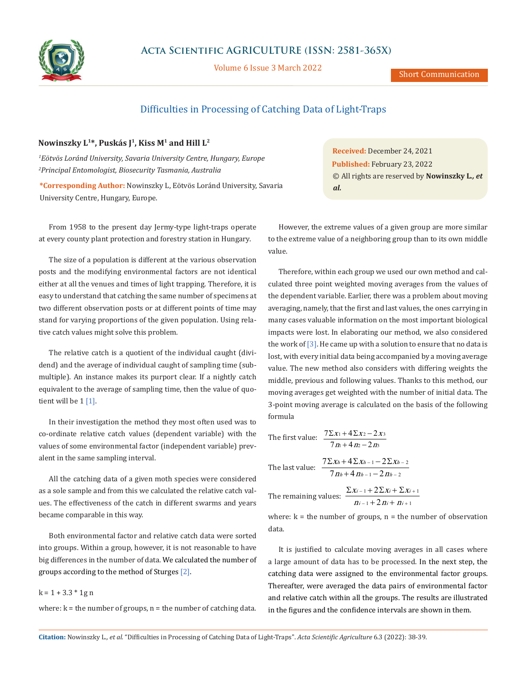

Volume 6 Issue 3 March 2022

Short Communication

# Difficulties in Processing of Catching Data of Light-Traps

## **Nowinszky L1\*, Puskás J1, Kiss M1 and Hill L2**

*1 Eötvös Loránd University, Savaria University Centre, Hungary, Europe 2 Principal Entomologist, Biosecurity Tasmania, Australia*

**\*Corresponding Author:** Nowinszky L, Eötvös Loránd University, Savaria University Centre, Hungary, Europe.

From 1958 to the present day Jermy-type light-traps operate at every county plant protection and forestry station in Hungary.

The size of a population is different at the various observation posts and the modifying environmental factors are not identical either at all the venues and times of light trapping. Therefore, it is easy to understand that catching the same number of specimens at two different observation posts or at different points of time may stand for varying proportions of the given population. Using relative catch values might solve this problem.

The relative catch is a quotient of the individual caught (dividend) and the average of individual caught of sampling time (submultiple). An instance makes its purport clear. If a nightly catch equivalent to the average of sampling time, then the value of quotient will be 1 [1].

In their investigation the method they most often used was to co-ordinate relative catch values (dependent variable) with the values of some environmental factor (independent variable) prevalent in the same sampling interval.

All the catching data of a given moth species were considered as a sole sample and from this we calculated the relative catch values. The effectiveness of the catch in different swarms and years became comparable in this way.

Both environmental factor and relative catch data were sorted into groups. Within a group, however, it is not reasonable to have big differences in the number of data. We calculated the number of groups according to the method of Sturges [2].

#### $k = 1 + 3.3 * 1g n$

where:  $k =$  the number of groups,  $n =$  the number of catching data.

**Received:** December 24, 2021 **Published:** February 23, 2022 © All rights are reserved by **Nowinszky L***., et al.*

However, the extreme values of a given group are more similar to the extreme value of a neighboring group than to its own middle value.

Therefore, within each group we used our own method and calculated three point weighted moving averages from the values of the dependent variable. Earlier, there was a problem about moving averaging, namely, that the first and last values, the ones carrying in many cases valuable information on the most important biological impacts were lost. In elaborating our method, we also considered the work of  $\lceil 3 \rceil$ . He came up with a solution to ensure that no data is lost, with every initial data being accompanied by a moving average value. The new method also considers with differing weights the middle, previous and following values. Thanks to this method, our moving averages get weighted with the number of initial data. The 3-point moving average is calculated on the basis of the following formula

The first value: 
$$
\frac{7\sum x_1 + 4\sum x_2 - 2x_3}{7m + 4m - 2m}
$$

The last value: 
$$
\frac{7\sum x_h + 4\sum x_{h-1} - 2\sum x_{h-2}}{7n_h + 4n_{h-1} - 2n_{h-2}}
$$

The remaining values: 
$$
\frac{\sum x_{i-1} + 2 \sum x_i + \sum x_{i+1}}{n_{i-1} + 2 n_i + n_{i+1}}
$$

where:  $k =$  the number of groups,  $n =$  the number of observation data.

It is justified to calculate moving averages in all cases where a large amount of data has to be processed. In the next step, the catching data were assigned to the environmental factor groups. Thereafter, were averaged the data pairs of environmental factor and relative catch within all the groups. The results are illustrated in the figures and the confidence intervals are shown in them.